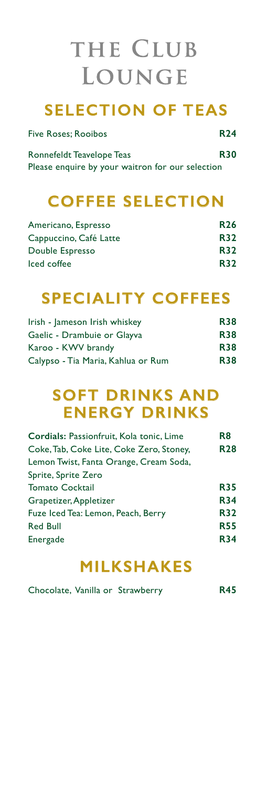### **SELECTION OF TEAS**

| Five Roses; Rooibos                              | <b>R24</b> |
|--------------------------------------------------|------------|
| Ronnefeldt Teavelope Teas                        | <b>R30</b> |
| Please enquire by your waitron for our selection |            |

## **COFFEE SELECTION**

| Americano, Espresso    | <b>R26</b> |
|------------------------|------------|
| Cappuccino, Café Latte | <b>R32</b> |
| Double Espresso        | <b>R32</b> |
| Iced coffee            | <b>R32</b> |

## **SPECIALITY COFFEES**

| Irish - Jameson Irish whiskey      | <b>R38</b> |
|------------------------------------|------------|
| Gaelic - Drambuie or Glayva        | <b>R38</b> |
| Karoo - KWV brandy                 | <b>R38</b> |
| Calypso - Tia Maria, Kahlua or Rum | <b>R38</b> |

## **SOFT DRINKS AND ENERGY DRINKS**

| Cordials: Passionfruit, Kola tonic, Lime | R <sub>8</sub> |
|------------------------------------------|----------------|
| Coke, Tab, Coke Lite, Coke Zero, Stoney, | <b>R28</b>     |
| Lemon Twist, Fanta Orange, Cream Soda,   |                |
| Sprite, Sprite Zero                      |                |
| <b>Tomato Cocktail</b>                   | <b>R35</b>     |
| Grapetizer, Appletizer                   | <b>R34</b>     |
| Fuze Iced Tea: Lemon, Peach, Berry       | <b>R32</b>     |
| <b>Red Bull</b>                          | <b>R55</b>     |
| Energade                                 | <b>R34</b>     |
|                                          |                |

## **MILKSHAKES**

| Chocolate, Vanilla or Strawberry |  | <b>R45</b> |
|----------------------------------|--|------------|
|----------------------------------|--|------------|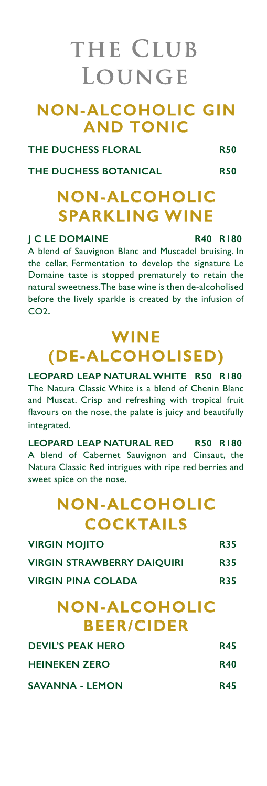### **NON-ALCOHOLIC GIN AND TONIC**

**THE DUCHESS FLORAL R50**

THE DUCHESS BOTANICAL R50

## **NON-ALCOHOLIC SPARKLING WINE**

### **J C LE DOMAINE R40 R180**

A blend of Sauvignon Blanc and Muscadel bruising. In the cellar, Fermentation to develop the signature Le Domaine taste is stopped prematurely to retain the natural sweetness.The base wine is then de-alcoholised before the lively sparkle is created by the infusion of CO2.

## **WINE (DE-ALCOHOLISED)**

**LEOPARD LEAP NATURAL WHITE R50 R180** The Natura Classic White is a blend of Chenin Blanc and Muscat. Crisp and refreshing with tropical fruit flavours on the nose, the palate is juicy and beautifully integrated.

**LEOPARD LEAP NATURAL RED R50 R180** A blend of Cabernet Sauvignon and Cinsaut, the Natura Classic Red intrigues with ripe red berries and sweet spice on the nose.

## **NON-ALCOHOLIC COCKTAILS**

| <b>NON-ALCOHOLIC</b>              |            |
|-----------------------------------|------------|
| <b>VIRGIN PINA COLADA</b>         | <b>R35</b> |
| <b>VIRGIN STRAWBERRY DAIOUIRI</b> | <b>R35</b> |
| <b>VIRGIN MOJITO</b>              | <b>R35</b> |

## **BEER/CIDER**

| <b>DEVIL'S PEAK HERO</b> | <b>R45</b> |
|--------------------------|------------|
| <b>HEINEKEN ZERO</b>     | <b>R40</b> |
| <b>SAVANNA - LEMON</b>   | <b>R45</b> |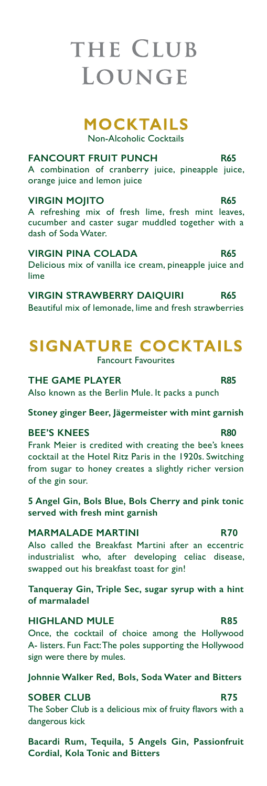### **MOCKTAILS**

Non-Alcoholic Cocktails

### **FANCOURT FRUIT PUNCH R65**

A combination of cranberry juice, pineapple juice, orange juice and lemon juice

### **VIRGIN MOJITO R65**

A refreshing mix of fresh lime, fresh mint leaves, cucumber and caster sugar muddled together with a dash of Soda Water.

### **VIRGIN PINA COLADA R65**

Delicious mix of vanilla ice cream, pineapple juice and lime

**VIRGIN STRAWBERRY DAIQUIRI R65** Beautiful mix of lemonade, lime and fresh strawberries

### **SIGNATURE COCKTAILS** Fancourt Favourites

**THE GAME PLAYER R85**

Also known as the Berlin Mule. It packs a punch

**Stoney ginger Beer, Jägermeister with mint garnish**

### **BEE'S KNEES R80**

Frank Meier is credited with creating the bee's knees cocktail at the Hotel Ritz Paris in the 1920s. Switching from sugar to honey creates a slightly richer version of the gin sour.

**5 Angel Gin, Bols Blue, Bols Cherry and pink tonic served with fresh mint garnish**

### **MARMALADE MARTINI R70**

Also called the Breakfast Martini after an eccentric industrialist who, after developing celiac disease, swapped out his breakfast toast for gin!

**Tanqueray Gin, Triple Sec, sugar syrup with a hint of marmaladel** 

### **HIGHLAND MULE R85**

Once, the cocktail of choice among the Hollywood A- listers. Fun Fact: The poles supporting the Hollywood sign were there by mules.

**Johnnie Walker Red, Bols, Soda Water and Bitters**

### **SOBER CLUB** R75

The Sober Club is a delicious mix of fruity flavors with a dangerous kick

**Bacardi Rum, Tequila, 5 Angels Gin, Passionfruit Cordial, Kola Tonic and Bitters**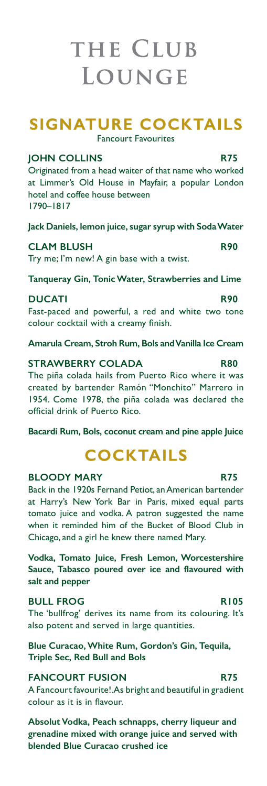## **SIGNATURE COCKTAILS**

Fancourt Favourites

### **JOHN COLLINS R75**

Originated from a head waiter of that name who worked at Limmer's Old House in Mayfair, a popular London hotel and coffee house between 1790–1817

**Jack Daniels, lemon juice, sugar syrup with Soda Water**

### **CLAM BLUSH R90**

Try me; I'm new! A gin base with a twist.

**Tanqueray Gin, Tonic Water, Strawberries and Lime**

### **DUCATI R90**

Fast-paced and powerful, a red and white two tone colour cocktail with a creamy finish.

**Amarula Cream, Stroh Rum, Bols and Vanilla Ice Cream**

### **STRAWBERRY COLADA R80**

The piña colada hails from Puerto Rico where it was created by bartender Ramón "Monchito" Marrero in 1954. Come 1978, the piña colada was declared the official drink of Puerto Rico.

**Bacardi Rum, Bols, coconut cream and pine apple Juice**

# **COCKTAILS**

### **BLOODY MARY** R75

Back in the 1920s Fernand Petiot, an American bartender at Harry's New York Bar in Paris, mixed equal parts tomato juice and vodka. A patron suggested the name when it reminded him of the Bucket of Blood Club in Chicago, and a girl he knew there named Mary.

**Vodka, Tomato Juice, Fresh Lemon, Worcestershire Sauce, Tabasco poured over ice and flavoured with salt and pepper**

### **BULL FROG R105**

The 'bullfrog' derives its name from its colouring. It's also potent and served in large quantities.

**Blue Curacao, White Rum, Gordon's Gin, Tequila, Triple Sec, Red Bull and Bols**

### **FANCOURT FUSION R75**

A Fancourt favourite!. As bright and beautiful in gradient colour as it is in flavour.

**Absolut Vodka, Peach schnapps, cherry liqueur and grenadine mixed with orange juice and served with blended Blue Curacao crushed ice**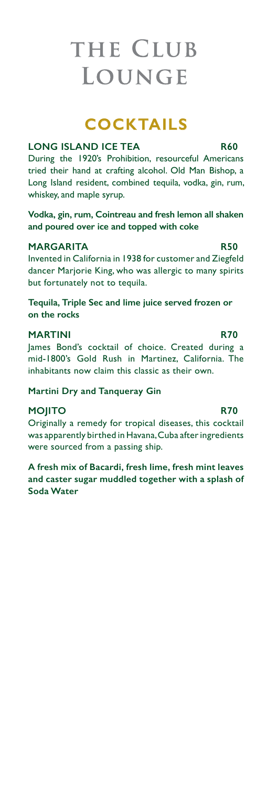## **COCKTAILS**

### **LONG ISLAND ICE TEA R60**

During the 1920's Prohibition, resourceful Americans tried their hand at crafting alcohol. Old Man Bishop, a Long Island resident, combined tequila, vodka, gin, rum, whiskey, and maple syrup.

**Vodka, gin, rum, Cointreau and fresh lemon all shaken and poured over ice and topped with coke**

### **MARGARITA** R50

Invented in California in 1938 for customer and Ziegfeld dancer Marjorie King, who was allergic to many spirits but fortunately not to tequila.

**Tequila, Triple Sec and lime juice served frozen or on the rocks**

### **MARTINI R70**

James Bond's cocktail of choice. Created during a mid-1800's Gold Rush in Martinez, California. The inhabitants now claim this classic as their own.

**Martini Dry and Tanqueray Gin**

### **MOJITO R70**

Originally a remedy for tropical diseases, this cocktail was apparently birthed in Havana, Cuba after ingredients were sourced from a passing ship.

**A fresh mix of Bacardi, fresh lime, fresh mint leaves and caster sugar muddled together with a splash of Soda Water**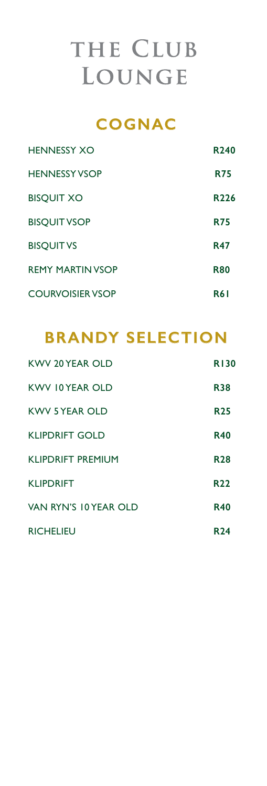### **COGNAC**

| <b>HENNESSY XO</b>      | R <sub>240</sub> |
|-------------------------|------------------|
| <b>HENNESSY VSOP</b>    | <b>R75</b>       |
| <b>BISQUIT XO</b>       | R <sub>226</sub> |
| <b>BISQUIT VSOP</b>     | <b>R75</b>       |
| <b>BISQUIT VS</b>       | <b>R47</b>       |
| <b>REMY MARTIN VSOP</b> | <b>R80</b>       |
| <b>COURVOISIER VSOP</b> | <b>R61</b>       |

## **BRANDY SELECTION**

| KWV 20 YEAR OLD          | <b>R130</b> |
|--------------------------|-------------|
| KWV 10 YEAR OLD          | <b>R38</b>  |
| <b>KWV 5 YEAR OLD</b>    | <b>R25</b>  |
| <b>KLIPDRIFT GOLD</b>    | <b>R40</b>  |
| <b>KLIPDRIFT PREMIUM</b> | <b>R28</b>  |
| <b>KLIPDRIFT</b>         | R22         |
| VAN RYN'S 10 YEAR OLD    | <b>R40</b>  |
| <b>RICHELIEU</b>         | R24         |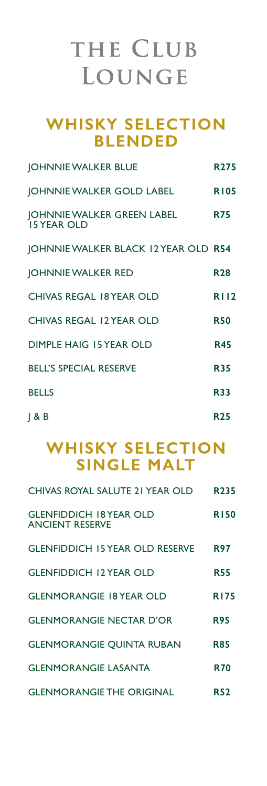### **WHISKY SELECTION BLENDED**

| <b>JOHNNIE WALKER BLUE</b>                       | <b>R275</b> |
|--------------------------------------------------|-------------|
| JOHNNIE WALKER GOLD LABEL                        | <b>R105</b> |
| JOHNNIE WALKER GREEN LABEL<br><b>15 YEAR OLD</b> | <b>R75</b>  |
| JOHNNIE WALKER BLACK I2 YEAR OLD R54             |             |
| <b>JOHNNIE WALKER RED</b>                        | <b>R28</b>  |
| <b>CHIVAS REGAL 18 YEAR OLD</b>                  | <b>RI12</b> |
| <b>CHIVAS REGAL 12 YEAR OLD</b>                  | <b>R50</b>  |
| <b>DIMPLE HAIG 15 YEAR OLD</b>                   | <b>R45</b>  |
| <b>BELL'S SPECIAL RESERVE</b>                    | <b>R35</b>  |
| <b>BELLS</b>                                     | <b>R33</b>  |
| J & B                                            | <b>R25</b>  |

### **WHISKY SELECTION SINGLE MALT**

| CHIVAS ROYAL SALUTE 21 YEAR OLD                          | R <sub>235</sub> |
|----------------------------------------------------------|------------------|
| <b>GLENFIDDICH 18 YEAR OLD</b><br><b>ANCIENT RESERVE</b> | <b>R150</b>      |
| <b>GLENFIDDICH 15 YEAR OLD RESERVE</b>                   | R97              |
| <b>GLENFIDDICH 12 YEAR OLD</b>                           | R55              |
| <b>GLENMORANGIE 18 YEAR OLD</b>                          | <b>R175</b>      |
| <b>GLENMORANGIE NECTAR D'OR</b>                          | <b>R95</b>       |
| <b>GLENMORANGIE QUINTA RUBAN</b>                         | <b>R85</b>       |
| <b>GLENMORANGIE LASANTA</b>                              | <b>R70</b>       |
| <b>GLENMORANGIE THE ORIGINAL</b>                         | <b>R52</b>       |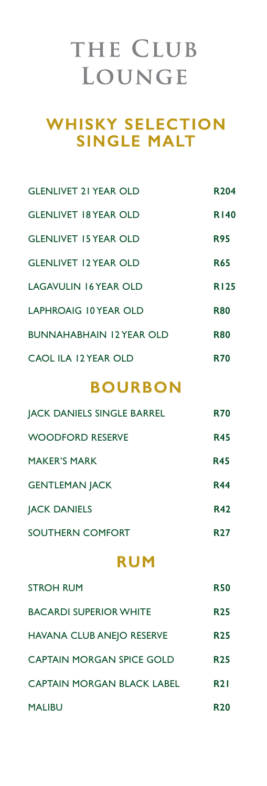## **WHISKY SELECTION SINGLE MALT**

| <b>GLENLIVET 21 YEAR OLD</b>    | R <sub>204</sub> |
|---------------------------------|------------------|
| <b>GLENLIVET 18 YEAR OLD</b>    | <b>R140</b>      |
| <b>GLENLIVET 15 YEAR OLD</b>    | <b>R95</b>       |
| <b>GLENLIVET 12 YEAR OLD</b>    | <b>R65</b>       |
| <b>LAGAVULIN 16 YEAR OLD</b>    | <b>R125</b>      |
| LAPHROAIG 10 YEAR OLD           | <b>R80</b>       |
| <b>BUNNAHABHAIN 12 YEAR OLD</b> | <b>R80</b>       |
| CAOL ILA 12 YEAR OLD            | R70              |

### **BOURBON**

| <b>JACK DANIELS SINGLE BARREL</b> | <b>R70</b> |
|-----------------------------------|------------|
| <b>WOODFORD RESERVE</b>           | <b>R45</b> |
| <b>MAKER'S MARK</b>               | <b>R45</b> |
| <b>GENTLEMAN JACK</b>             | <b>R44</b> |
| <b>JACK DANIELS</b>               | <b>R42</b> |
| SOUTHERN COMFORT                  | <b>R27</b> |

### **RUM**

| <b>STROH RUM</b>                 | <b>R50</b> |
|----------------------------------|------------|
| <b>BACARDI SUPERIOR WHITE</b>    | <b>R25</b> |
| HAVANA CLUB ANEJO RESERVE        | <b>R25</b> |
| <b>CAPTAIN MORGAN SPICE GOLD</b> | <b>R25</b> |
| CAPTAIN MORGAN BLACK LABEL       | R2 I       |
| <b>MALIBU</b>                    | <b>R20</b> |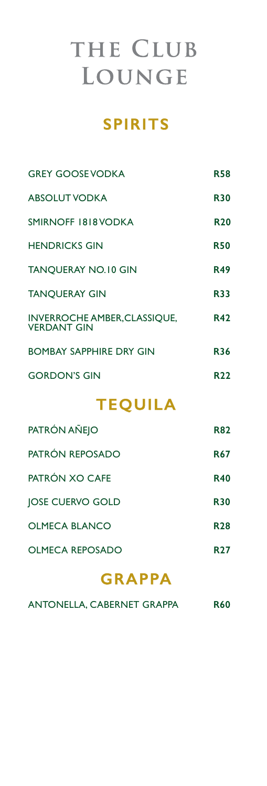## **SPIRITS**

| <b>TEOUILA</b>                                            |            |  |
|-----------------------------------------------------------|------------|--|
| <b>GORDON'S GIN</b>                                       | <b>R22</b> |  |
| <b>BOMBAY SAPPHIRE DRY GIN</b>                            | <b>R36</b> |  |
| <b>INVERROCHE AMBER, CLASSIQUE,</b><br><b>VERDANT GIN</b> | <b>R42</b> |  |
| <b>TANOUERAY GIN</b>                                      | <b>R33</b> |  |
| <b>TANQUERAY NO.10 GIN</b>                                | <b>R49</b> |  |
| <b>HENDRICKS GIN</b>                                      | <b>R50</b> |  |
| SMIRNOFF 1818 VODKA                                       | <b>R20</b> |  |
| <b>ABSOLUT VODKA</b>                                      | <b>R30</b> |  |
| <b>GREY GOOSE VODKA</b>                                   | R58        |  |

| PATRÓN AÑEJO            | <b>R82</b>      |
|-------------------------|-----------------|
| PATRÓN REPOSADO         | <b>R67</b>      |
| PATRÓN XO CAFE          | <b>R40</b>      |
| <b>JOSE CUERVO GOLD</b> | <b>R30</b>      |
| OLMECA BLANCO           | <b>R28</b>      |
| OLMECA REPOSADO         | R <sub>27</sub> |

### **GRAPPA**

| ANTONELLA, CABERNET GRAPPA |  |  |  | <b>R60</b> |
|----------------------------|--|--|--|------------|
|----------------------------|--|--|--|------------|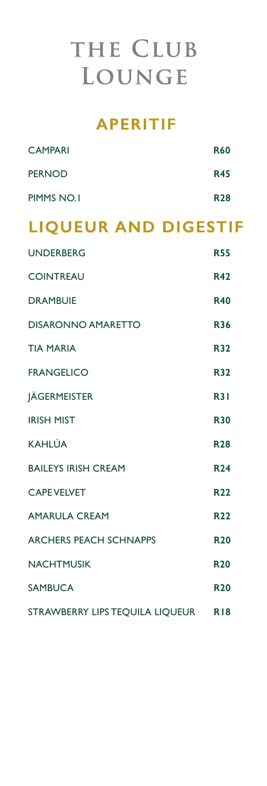### **APERITIF**

| <b>CAMPARI</b>                      | <b>R60</b> |
|-------------------------------------|------------|
| <b>PERNOD</b>                       | <b>R45</b> |
| PIMMS NO.I                          | <b>R28</b> |
| <b>LIQUEUR AND DIGESTIF</b>         |            |
| <b>UNDERBERG</b>                    | <b>R55</b> |
| <b>COINTREAU</b>                    | <b>R42</b> |
| <b>DRAMBUIE</b>                     | <b>R40</b> |
| <b>DISARONNO AMARETTO</b>           | <b>R36</b> |
| <b>TIA MARIA</b>                    | <b>R32</b> |
| <b>FRANGELICO</b>                   | <b>R32</b> |
| <b>JÄGERMEISTER</b>                 | <b>R31</b> |
| <b>IRISH MIST</b>                   | <b>R30</b> |
| <b>KAHLÚA</b>                       | <b>R28</b> |
| <b>BAILEYS IRISH CREAM</b>          | <b>R24</b> |
| <b>CAPE VELVET</b>                  | <b>R22</b> |
| <b>AMARULA CREAM</b>                | <b>R22</b> |
| <b>ARCHERS PEACH SCHNAPPS</b>       | <b>R20</b> |
| <b>NACHTMUSIK</b>                   | <b>R20</b> |
| <b>SAMBUCA</b>                      | <b>R20</b> |
| STRAWBERRY LIPS TEQUILA LIQUEUR RI8 |            |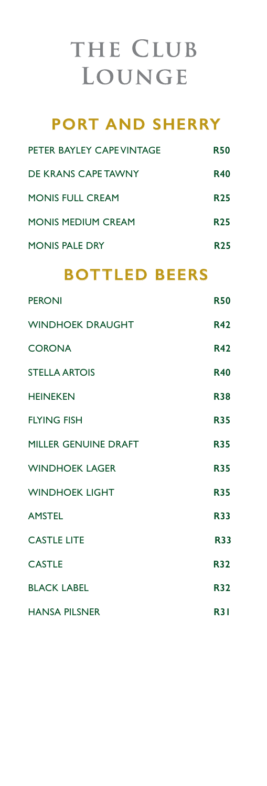## **PORT AND SHERRY**

| PETER BAYLEY CAPE VINTAGE | <b>R50</b> |
|---------------------------|------------|
| DE KRANS CAPE TAWNY       | <b>R40</b> |
| <b>MONIS FULL CREAM</b>   | <b>R25</b> |
| <b>MONIS MEDIUM CREAM</b> | <b>R25</b> |
| <b>MONIS PALE DRY</b>     | <b>R25</b> |

### **BOTTLED BEERS**

| <b>PERONI</b>           | <b>R50</b> |
|-------------------------|------------|
| <b>WINDHOEK DRAUGHT</b> | <b>R42</b> |
| <b>CORONA</b>           | <b>R42</b> |
| <b>STELLA ARTOIS</b>    | <b>R40</b> |
| <b>HEINEKEN</b>         | <b>R38</b> |
| <b>FLYING FISH</b>      | <b>R35</b> |
| MILLER GENUINE DRAFT    | <b>R35</b> |
| <b>WINDHOEK LAGER</b>   | <b>R35</b> |
| <b>WINDHOEK LIGHT</b>   | <b>R35</b> |
| <b>AMSTEL</b>           | <b>R33</b> |
| <b>CASTLE LITE</b>      | <b>R33</b> |
| <b>CASTLE</b>           | <b>R32</b> |
| <b>BLACK LABEL</b>      | <b>R32</b> |
| <b>HANSA PILSNER</b>    | <b>R31</b> |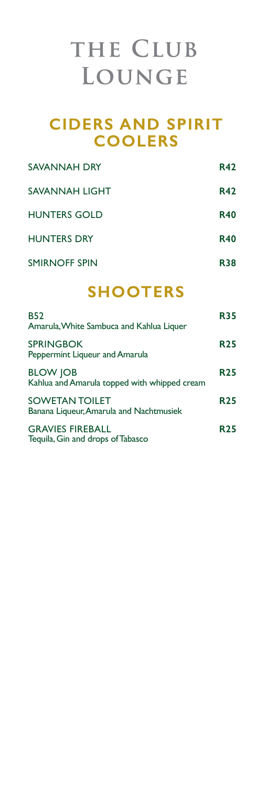### **CIDERS AND SPIRIT COOLERS**

| SAVANNAH DRY         | <b>R42</b> |
|----------------------|------------|
| SAVANNAH LIGHT       | <b>R42</b> |
| <b>HUNTERS GOLD</b>  | <b>R40</b> |
| <b>HUNTERS DRY</b>   | <b>R40</b> |
| <b>SMIRNOFF SPIN</b> | R38        |

## **SHOOTERS**

| <b>B52</b><br>Amarula, White Sambuca and Kahlua Liquer           | <b>R35</b> |
|------------------------------------------------------------------|------------|
| <b>SPRINGBOK</b><br>Peppermint Liqueur and Amarula               | <b>R25</b> |
| <b>BLOW JOB</b><br>Kahlua and Amarula topped with whipped cream  | <b>R25</b> |
| <b>SOWETAN TOILET</b><br>Banana Liqueur, Amarula and Nachtmusiek | <b>R25</b> |
| <b>GRAVIES FIREBALL</b><br>Tequila, Gin and drops of Tabasco     | <b>R25</b> |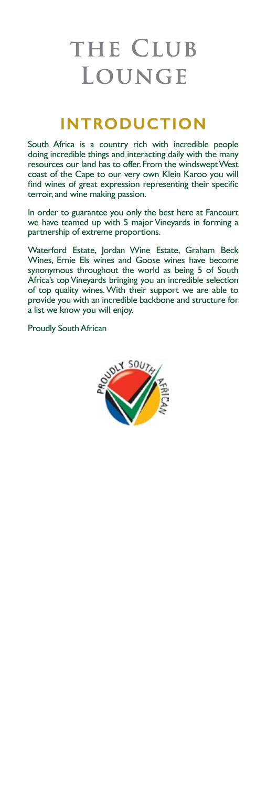## **INTRODUCTION**

South Africa is a country rich with incredible people doing incredible things and interacting daily with the many resources our land has to offer. From the windswept West coast of the Cape to our very own Klein Karoo you will find wines of great expression representing their specific terroir, and wine making passion.

In order to guarantee you only the best here at Fancourt we have teamed up with 5 major Vineyards in forming a partnership of extreme proportions.

Waterford Estate, Jordan Wine Estate, Graham Beck Wines, Ernie Els wines and Goose wines have become synonymous throughout the world as being 5 of South Africa's top Vineyards bringing you an incredible selection of top quality wines. With their support we are able to provide you with an incredible backbone and structure for a list we know you will enjoy.

Proudly South African

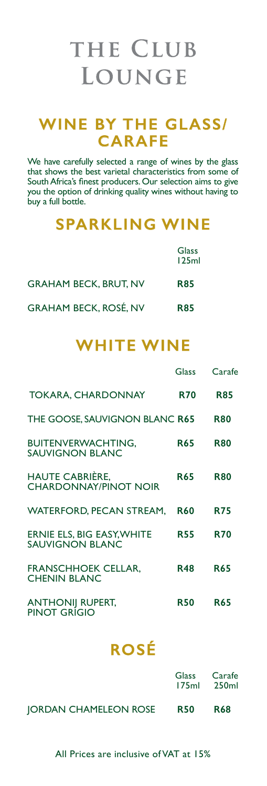### **WINE BY THE GLASS/ CARAFE**

We have carefully selected a range of wines by the glass that shows the best varietal characteristics from some of South Africa's finest producers. Our selection aims to give you the option of drinking quality wines without having to buy a full bottle.

### **SPARKLING WINE**

|                              | Glass<br>125ml |
|------------------------------|----------------|
| <b>GRAHAM BECK, BRUT, NV</b> | <b>R85</b>     |
| <b>GRAHAM BECK, ROSÉ, NV</b> | <b>R85</b>     |

## **WHITE WINE**

|                                                        | Glass      | Carafe     |
|--------------------------------------------------------|------------|------------|
| TOKARA, CHARDONNAY                                     | <b>R70</b> | <b>R85</b> |
| THE GOOSE, SAUVIGNON BLANC R65                         |            | <b>R80</b> |
| <b>BUITENVERWACHTING,</b><br><b>SAUVIGNON BLANC</b>    | <b>R65</b> | <b>R80</b> |
| <b>HAUTE CABRIÈRE,</b><br><b>CHARDONNAY/PINOT NOIR</b> | <b>R65</b> | <b>R80</b> |
| <b>WATERFORD, PECAN STREAM,</b>                        | <b>R60</b> | <b>R75</b> |
| ERNIE ELS, BIG EASY, WHITE<br><b>SAUVIGNON BLANC</b>   | <b>R55</b> | <b>R70</b> |
| <b>FRANSCHHOEK CELLAR,</b><br><b>CHENIN BLANC</b>      | <b>R48</b> | <b>R65</b> |
| <b>ANTHONIJ RUPERT,</b><br>PINOT GRÍGIO                | <b>R50</b> | <b>R65</b> |
|                                                        |            |            |

## **ROSÉ**

|                       |            | Glass Carafe<br>175ml 250ml |
|-----------------------|------------|-----------------------------|
| JORDAN CHAMELEON ROSE | <b>R50</b> | <b>R68</b>                  |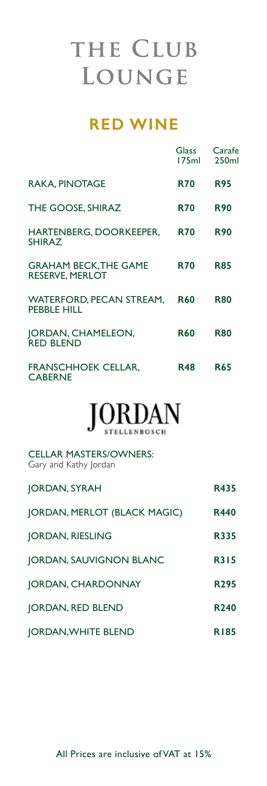## **RED WINE**

|                                                        | Glass<br>175ml | Carafe<br>250 <sub>ml</sub> |
|--------------------------------------------------------|----------------|-----------------------------|
| <b>RAKA, PINOTAGE</b>                                  | <b>R70</b>     | <b>R95</b>                  |
| THE GOOSE, SHIRAZ                                      | <b>R70</b>     | <b>R90</b>                  |
| HARTENBERG, DOORKEEPER,<br><b>SHIRAZ</b>               | <b>R70</b>     | <b>R90</b>                  |
| <b>GRAHAM BECK, THE GAME</b><br><b>RESERVE, MERLOT</b> | <b>R70</b>     | <b>R85</b>                  |
| <b>WATERFORD, PECAN STREAM,</b><br><b>PEBBLE HILL</b>  | <b>R60</b>     | <b>R80</b>                  |
| JORDAN, CHAMELEON,<br><b>RED BLEND</b>                 | <b>R60</b>     | <b>R80</b>                  |
| <b>FRANSCHHOEK CELLAR,</b><br><b>CABERNE</b>           | R48            | <b>R65</b>                  |

# $JORDAN$

CELLAR MASTERS/OWNERS: Gary and Kathy Jordan

| JORDAN, SYRAH                | R435             |
|------------------------------|------------------|
| JORDAN, MERLOT (BLACK MAGIC) | <b>R440</b>      |
| <b>JORDAN, RIESLING</b>      | <b>R335</b>      |
| JORDAN, SAUVIGNON BLANC      | <b>R315</b>      |
| JORDAN, CHARDONNAY           | R <sub>295</sub> |
| JORDAN, RED BLEND            | R <sub>240</sub> |
| <b>JORDAN, WHITE BLEND</b>   | <b>R185</b>      |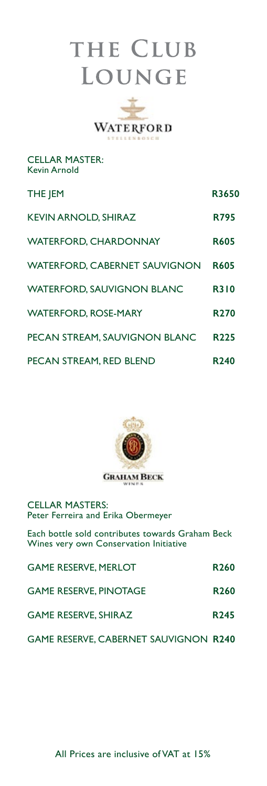

CELLAR MASTER: Kevin Arnold

| THE JEM                              | R3650            |
|--------------------------------------|------------------|
| <b>KEVIN ARNOLD, SHIRAZ</b>          | <b>R795</b>      |
| <b>WATERFORD, CHARDONNAY</b>         | <b>R605</b>      |
| <b>WATERFORD, CABERNET SAUVIGNON</b> | <b>R605</b>      |
| <b>WATERFORD, SAUVIGNON BLANC</b>    | <b>R310</b>      |
| <b>WATERFORD, ROSE-MARY</b>          | R <sub>270</sub> |
| PECAN STREAM, SAUVIGNON BLANC        | R225             |
| PECAN STREAM, RED BLEND              | R240             |



CELLAR MASTERS: Peter Ferreira and Erika Obermeyer

Each bottle sold contributes towards Graham Beck Wines very own Conservation Initiative

| <b>GAME RESERVE, MERLOT</b>                  | <b>R260</b>      |
|----------------------------------------------|------------------|
| <b>GAME RESERVE, PINOTAGE</b>                | R <sub>260</sub> |
| <b>GAME RESERVE, SHIRAZ</b>                  | R <sub>245</sub> |
| <b>GAME RESERVE, CABERNET SAUVIGNON R240</b> |                  |

All Prices are inclusive of VAT at 15%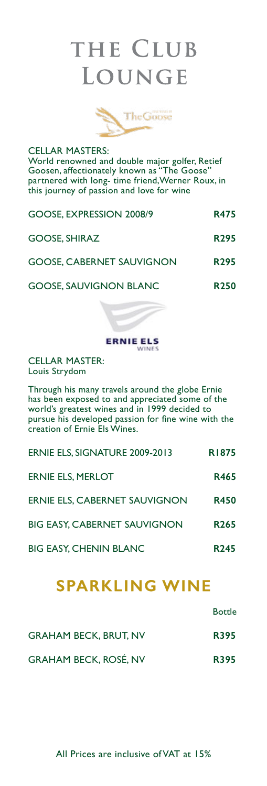

CELLAR MASTERS: World renowned and double major golfer, Retief Goosen, affectionately known as "The Goose" partnered with long- time friend,Werner Roux, in this journey of passion and love for wine

| GOOSE, EXPRESSION 2008/9         | <b>R475</b>      |
|----------------------------------|------------------|
| <b>GOOSE, SHIRAZ</b>             | R <sub>295</sub> |
| <b>GOOSE, CABERNET SAUVIGNON</b> | R <sub>295</sub> |
| <b>GOOSE, SAUVIGNON BLANC</b>    | <b>R250</b>      |



CELLAR MASTER: Louis Strydom

Through his many travels around the globe Ernie has been exposed to and appreciated some of the world's greatest wines and in 1999 decided to pursue his developed passion for fine wine with the creation of Ernie Els Wines.

| ERNIE ELS, SIGNATURE 2009-2013      | <b>R1875</b>     |
|-------------------------------------|------------------|
| ERNIE ELS. MERLOT                   | <b>R465</b>      |
| ERNIE ELS, CABERNET SAUVIGNON       | <b>R450</b>      |
| <b>BIG EASY, CABERNET SAUVIGNON</b> | R <sub>265</sub> |
| <b>BIG EASY, CHENIN BLANC</b>       | R <sub>245</sub> |

## **SPARKLING WINE**

|                              | <b>Bottle</b> |
|------------------------------|---------------|
| <b>GRAHAM BECK, BRUT, NV</b> | <b>R395</b>   |
| <b>GRAHAM BECK, ROSÉ, NV</b> | <b>R395</b>   |